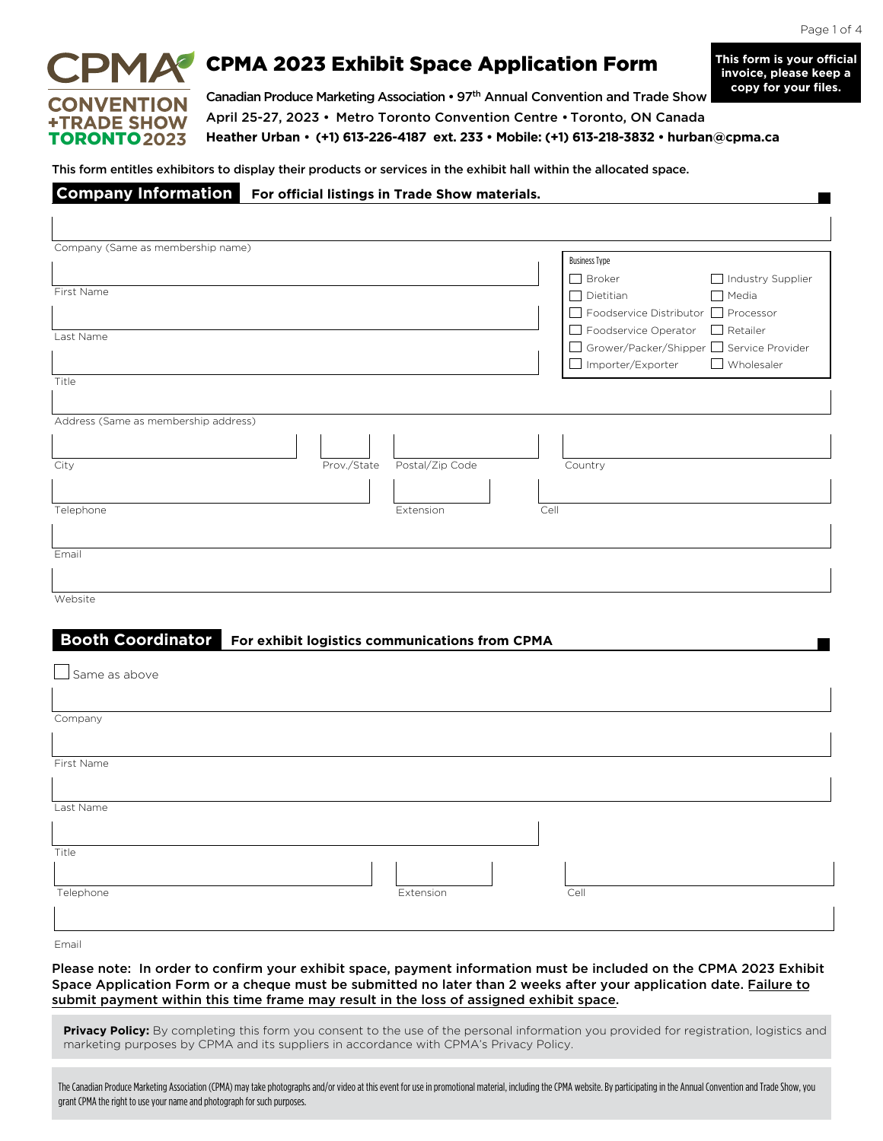#### Page 1 of 4

 $\overline{\phantom{a}}$ 

**This form is your official invoice, please keep a** 

# **CONVENTION +TRADE SHOW** TORONTO**2023**

 $\overline{1}$ 

 $PMA^{\bullet}$  CPMA 2023 Exhibit Space Application Form

Canadian Produce Marketing Association • 97th Annual Convention and Trade Show April 25-27, 2023 • Metro Toronto Convention Centre • Toronto, ON Canada **Heather Urban** • **(+1) 613-226-4187 ext. 233 • Mobile: (+1) 613-218-3832 • hurban@cpma.ca copy for your files.**

This form entitles exhibitors to display their products or services in the exhibit hall within the allocated space.

#### **Company Information For official listings in Trade Show materials.**

| Company (Same as membership name)                                |                                            |
|------------------------------------------------------------------|--------------------------------------------|
|                                                                  | <b>Business Type</b>                       |
|                                                                  | $\Box$ Broker<br>Industry Supplier         |
| First Name                                                       | $\Box$ Dietitian<br>$\Box$ Media           |
|                                                                  | □ Foodservice Distributor □ Processor      |
| Last Name                                                        | □ Foodservice Operator □ Retailer          |
|                                                                  | □ Grower/Packer/Shipper □ Service Provider |
|                                                                  | $\Box$ Wholesaler<br>□ Importer/Exporter   |
| Title                                                            |                                            |
|                                                                  |                                            |
| Address (Same as membership address)                             |                                            |
|                                                                  |                                            |
|                                                                  |                                            |
| Prov./State Postal/Zip Code<br>City                              | Country                                    |
|                                                                  |                                            |
|                                                                  |                                            |
| Telephone<br>Cell<br>Extension                                   |                                            |
|                                                                  |                                            |
|                                                                  |                                            |
| Email                                                            |                                            |
|                                                                  |                                            |
| Website                                                          |                                            |
|                                                                  |                                            |
|                                                                  |                                            |
| Booth Coordinator For exhibit logistics communications from CPMA |                                            |
|                                                                  |                                            |
| $\Box$ Same as above                                             |                                            |
|                                                                  |                                            |
| Company                                                          |                                            |
|                                                                  |                                            |
|                                                                  |                                            |
| First Name                                                       |                                            |
|                                                                  |                                            |
|                                                                  |                                            |
| Last Name                                                        |                                            |
|                                                                  |                                            |
|                                                                  |                                            |
| Title                                                            |                                            |
|                                                                  |                                            |
| Telephone<br>Extension                                           | Cell                                       |
|                                                                  |                                            |
|                                                                  |                                            |

Email

Please note: In order to confirm your exhibit space, payment information must be included on the CPMA 2023 Exhibit Space Application Form or a cheque must be submitted no later than 2 weeks after your application date. Failure to submit payment within this time frame may result in the loss of assigned exhibit space.

Privacy Policy: By completing this form you consent to the use of the personal information you provided for registration, logistics and marketing purposes by CPMA and its suppliers in accordance with CPMA's Privacy Policy.

The Canadian Produce Marketing Association (CPMA) may take photographs and/or video at this event for use in promotional material, including the CPMA website. By participating in the Annual Convention and Trade Show, you grant CPMA the right to use your name and photograph for such purposes.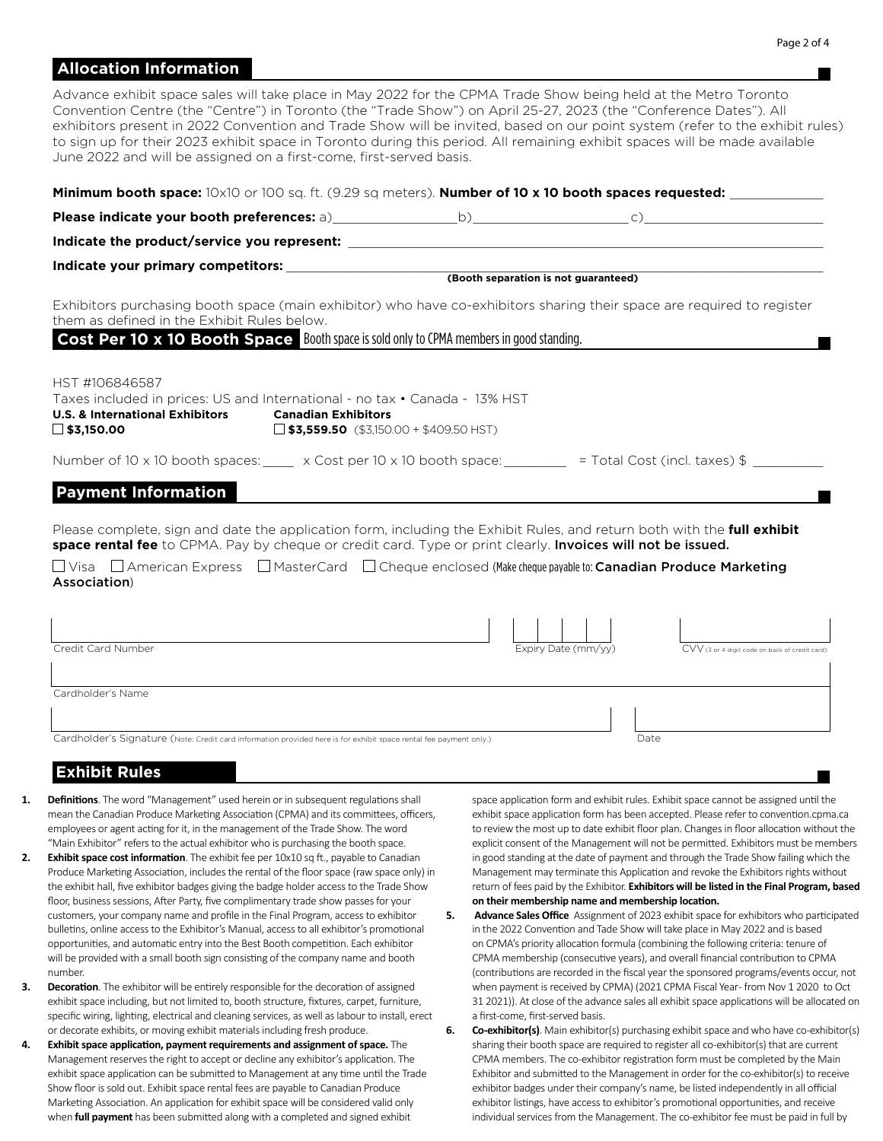## **Allocation Information**

Advance exhibit space sales will take place in May 2022 for the CPMA Trade Show being held at the Metro Toronto Convention Centre (the "Centre") in Toronto (the "Trade Show") on April 25-27, 2023 (the "Conference Dates"). All exhibitors present in 2022 Convention and Trade Show will be invited, based on our point system (refer to the exhibit rules) to sign up for their 2023 exhibit space in Toronto during this period. All remaining exhibit spaces will be made available June 2022 and will be assigned on a first-come, first-served basis.

| Minimum booth space: 10x10 or 100 sq. ft. (9.29 sq meters). Number of 10 x 10 booth spaces requested: ________                                                                                                                                 |                                      |                                                |
|------------------------------------------------------------------------------------------------------------------------------------------------------------------------------------------------------------------------------------------------|--------------------------------------|------------------------------------------------|
|                                                                                                                                                                                                                                                |                                      |                                                |
|                                                                                                                                                                                                                                                |                                      |                                                |
|                                                                                                                                                                                                                                                |                                      |                                                |
|                                                                                                                                                                                                                                                | (Booth separation is not guaranteed) |                                                |
| Exhibitors purchasing booth space (main exhibitor) who have co-exhibitors sharing their space are required to register<br>them as defined in the Exhibit Rules below.                                                                          |                                      |                                                |
| Cost Per 10 x 10 Booth Space Booth space is sold only to CPMA members in good standing.                                                                                                                                                        |                                      |                                                |
| HST #106846587<br>Taxes included in prices: US and International - no tax • Canada - 13% HST<br><b>U.S. &amp; International Exhibitors</b><br><b>Canadian Exhibitors</b><br>$\Box$ \$3,150.00<br>$\Box$ \$3,559.50 (\$3,150.00 + \$409.50 HST) |                                      |                                                |
| Number of 10 x 10 booth spaces: $\frac{1}{2}$ x Cost per 10 x 10 booth space: $\frac{1}{2}$ = Total Cost (incl. taxes) \$                                                                                                                      |                                      |                                                |
| <b>Payment Information</b>                                                                                                                                                                                                                     |                                      |                                                |
| Please complete, sign and date the application form, including the Exhibit Rules, and return both with the <b>full exhibit</b><br>space rental fee to CPMA. Pay by cheque or credit card. Type or print clearly. Invoices will not be issued.  |                                      |                                                |
| $\Box$ Visa $\Box$ American Express $\Box$ MasterCard $\Box$ Cheque enclosed (Make cheque payable to: <b>Canadian Produce Marketing</b><br>Association)                                                                                        |                                      |                                                |
|                                                                                                                                                                                                                                                |                                      |                                                |
| Credit Card Number                                                                                                                                                                                                                             | Expiry Date (mm/yy)                  | CVV (3 or 4 digit code on back of credit card) |
| Cardholder's Name                                                                                                                                                                                                                              |                                      |                                                |
| Cardholder's Signature (Note: Credit card information provided here is for exhibit space rental fee payment only.)                                                                                                                             | Date                                 |                                                |

### **Exhibit Rules**

- **1. Definitions**. The word "Management" used herein or in subsequent regulations shall mean the Canadian Produce Marketing Association (CPMA) and its committees, officers, employees or agent acting for it, in the management of the Trade Show. The word "Main Exhibitor" refers to the actual exhibitor who is purchasing the booth space.
- **2. Exhibit space cost information**. The exhibit fee per 10x10 sq ft., payable to Canadian Produce Marketing Association, includes the rental of the floor space (raw space only) in the exhibit hall, five exhibitor badges giving the badge holder access to the Trade Show floor, business sessions, After Party, five complimentary trade show passes for your customers, your company name and profile in the Final Program, access to exhibitor bulletins, online access to the Exhibitor's Manual, access to all exhibitor's promotional opportunities, and automatic entry into the Best Booth competition. Each exhibitor will be provided with a small booth sign consisting of the company name and booth number.
- **3. Decoration**. The exhibitor will be entirely responsible for the decoration of assigned exhibit space including, but not limited to, booth structure, fixtures, carpet, furniture, specific wiring, lighting, electrical and cleaning services, as well as labour to install, erect or decorate exhibits, or moving exhibit materials including fresh produce.
- **4. Exhibit space application, payment requirements and assignment of space.** The Management reserves the right to accept or decline any exhibitor's application. The exhibit space application can be submitted to Management at any time until the Trade Show floor is sold out. Exhibit space rental fees are payable to Canadian Produce Marketing Association. An application for exhibit space will be considered valid only when **full payment** has been submitted along with a completed and signed exhibit

space application form and exhibit rules. Exhibit space cannot be assigned until the exhibit space application form has been accepted. Please refer to convention.cpma.ca to review the most up to date exhibit floor plan. Changes in floor allocation without the explicit consent of the Management will not be permitted. Exhibitors must be members in good standing at the date of payment and through the Trade Show failing which the Management may terminate this Application and revoke the Exhibitors rights without return of fees paid by the Exhibitor. **Exhibitors will be listed in the Final Program, based on their membership name and membership location.**

- **5.** Advance Sales Office Assignment of 2023 exhibit space for exhibitors who participated in the 2022 Convention and Tade Show will take place in May 2022 and is based on CPMA's priority allocation formula (combining the following criteria: tenure of CPMA membership (consecutive years), and overall financial contribution to CPMA (contributions are recorded in the fiscal year the sponsored programs/events occur, not when payment is received by CPMA) (2021 CPMA Fiscal Year- from Nov 1 2020 to Oct 31 2021)). At close of the advance sales all exhibit space applications will be allocated on a first-come, first-served basis.
- **6. Co-exhibitor(s)**. Main exhibitor(s) purchasing exhibit space and who have co-exhibitor(s) sharing their booth space are required to register all co-exhibitor(s) that are current CPMA members. The co-exhibitor registration form must be completed by the Main Exhibitor and submitted to the Management in order for the co-exhibitor(s) to receive exhibitor badges under their company's name, be listed independently in all official exhibitor listings, have access to exhibitor's promotional opportunities, and receive individual services from the Management. The co-exhibitor fee must be paid in full by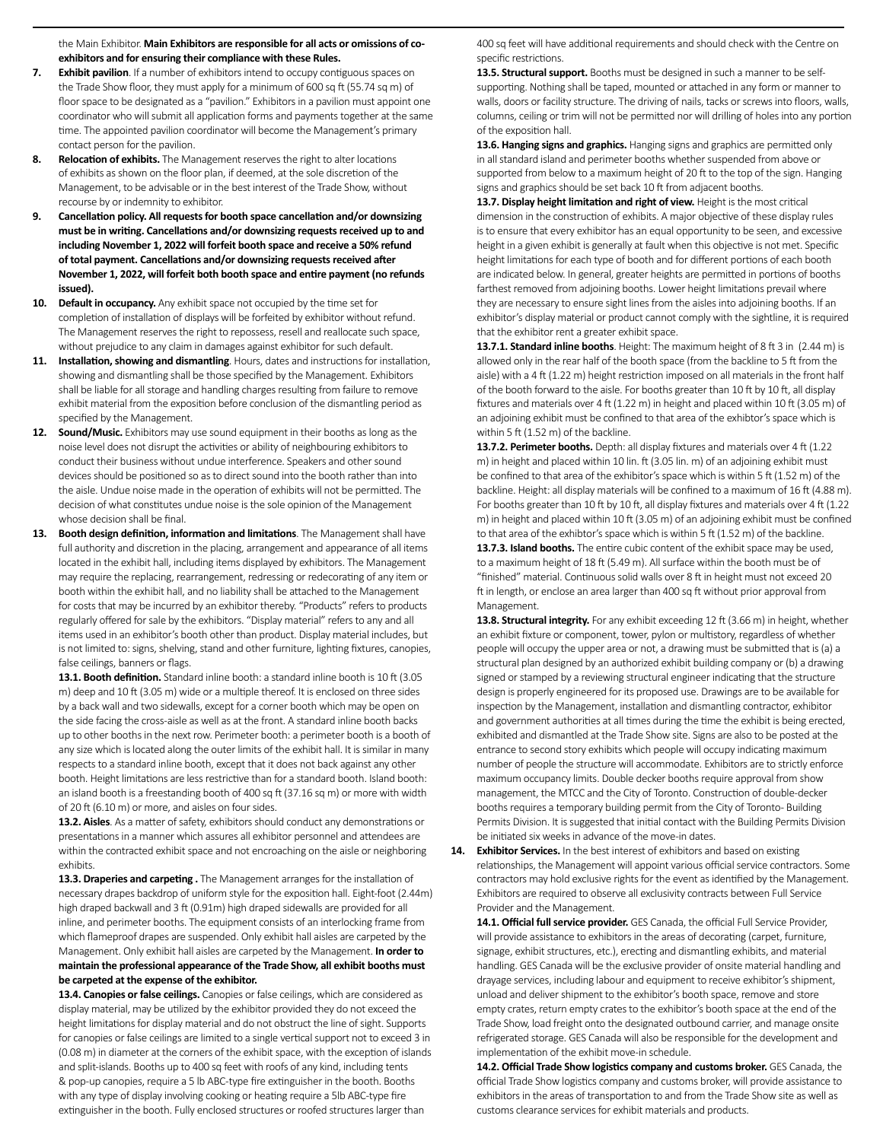the Main Exhibitor. **Main Exhibitors are responsible for all acts or omissions of coexhibitors and for ensuring their compliance with these Rules.**

- **7. Exhibit pavilion**. If a number of exhibitors intend to occupy contiguous spaces on the Trade Show floor, they must apply for a minimum of 600 sq ft (55.74 sq m) of floor space to be designated as a "pavilion." Exhibitors in a pavilion must appoint one coordinator who will submit all application forms and payments together at the same time. The appointed pavilion coordinator will become the Management's primary contact person for the pavilion.
- **8. Relocation of exhibits.** The Management reserves the right to alter locations of exhibits as shown on the floor plan, if deemed, at the sole discretion of the Management, to be advisable or in the best interest of the Trade Show, without recourse by or indemnity to exhibitor.
- **9. Cancellation policy. All requests for booth space cancellation and/or downsizing must be in writing. Cancellations and/or downsizing requests received up to and including November 1, 2022 will forfeit booth space and receive a 50% refund of total payment. Cancellations and/or downsizing requests received after November 1, 2022, will forfeit both booth space and entire payment (no refunds issued).**
- **10. Default in occupancy.** Any exhibit space not occupied by the time set for completion of installation of displays will be forfeited by exhibitor without refund. The Management reserves the right to repossess, resell and reallocate such space, without prejudice to any claim in damages against exhibitor for such default.
- **11. Installation, showing and dismantling**. Hours, dates and instructions for installation, showing and dismantling shall be those specified by the Management. Exhibitors shall be liable for all storage and handling charges resulting from failure to remove exhibit material from the exposition before conclusion of the dismantling period as specified by the Management.
- **12. Sound/Music.** Exhibitors may use sound equipment in their booths as long as the noise level does not disrupt the activities or ability of neighbouring exhibitors to conduct their business without undue interference. Speakers and other sound devices should be positioned so as to direct sound into the booth rather than into the aisle. Undue noise made in the operation of exhibits will not be permitted. The decision of what constitutes undue noise is the sole opinion of the Management whose decision shall be final.
- **13. Booth design definition, information and limitations**. The Management shall have full authority and discretion in the placing, arrangement and appearance of all items located in the exhibit hall, including items displayed by exhibitors. The Management may require the replacing, rearrangement, redressing or redecorating of any item or booth within the exhibit hall, and no liability shall be attached to the Management for costs that may be incurred by an exhibitor thereby. "Products" refers to products regularly offered for sale by the exhibitors. "Display material" refers to any and all items used in an exhibitor's booth other than product. Display material includes, but is not limited to: signs, shelving, stand and other furniture, lighting fixtures, canopies, false ceilings, banners or flags.

13.1. Booth definition. Standard inline booth: a standard inline booth is 10 ft (3.05 m) deep and 10 ft (3.05 m) wide or a multiple thereof. It is enclosed on three sides by a back wall and two sidewalls, except for a corner booth which may be open on the side facing the cross-aisle as well as at the front. A standard inline booth backs up to other booths in the next row. Perimeter booth: a perimeter booth is a booth of any size which is located along the outer limits of the exhibit hall. It is similar in many respects to a standard inline booth, except that it does not back against any other booth. Height limitations are less restrictive than for a standard booth. Island booth: an island booth is a freestanding booth of 400 sq ft (37.16 sq m) or more with width of 20 ft (6.10 m) or more, and aisles on four sides.

**13.2. Aisles**. As a matter of safety, exhibitors should conduct any demonstrations or presentations in a manner which assures all exhibitor personnel and attendees are within the contracted exhibit space and not encroaching on the aisle or neighboring exhibits.

**13.3. Draperies and carpeting .** The Management arranges for the installation of necessary drapes backdrop of uniform style for the exposition hall. Eight-foot (2.44m) high draped backwall and 3 ft (0.91m) high draped sidewalls are provided for all inline, and perimeter booths. The equipment consists of an interlocking frame from which flameproof drapes are suspended. Only exhibit hall aisles are carpeted by the Management. Only exhibit hall aisles are carpeted by the Management. **In order to maintain the professional appearance of the Trade Show, all exhibit booths must be carpeted at the expense of the exhibitor.**

**13.4. Canopies or false ceilings.** Canopies or false ceilings, which are considered as display material, may be utilized by the exhibitor provided they do not exceed the height limitations for display material and do not obstruct the line of sight. Supports for canopies or false ceilings are limited to a single vertical support not to exceed 3 in (0.08 m) in diameter at the corners of the exhibit space, with the exception of islands and split-islands. Booths up to 400 sq feet with roofs of any kind, including tents & pop-up canopies, require a 5 lb ABC-type fire extinguisher in the booth. Booths with any type of display involving cooking or heating require a 5lb ABC-type fire extinguisher in the booth. Fully enclosed structures or roofed structures larger than

400 sq feet will have additional requirements and should check with the Centre on specific restrictions.

13.5. Structural support. Booths must be designed in such a manner to be selfsupporting. Nothing shall be taped, mounted or attached in any form or manner to walls, doors or facility structure. The driving of nails, tacks or screws into floors, walls, columns, ceiling or trim will not be permitted nor will drilling of holes into any portion of the exposition hall.

**13.6. Hanging signs and graphics.** Hanging signs and graphics are permitted only in all standard island and perimeter booths whether suspended from above or supported from below to a maximum height of 20 ft to the top of the sign. Hanging signs and graphics should be set back 10 ft from adjacent booths.

**13.7. Display height limitation and right of view.** Height is the most critical dimension in the construction of exhibits. A major objective of these display rules is to ensure that every exhibitor has an equal opportunity to be seen, and excessive height in a given exhibit is generally at fault when this objective is not met. Specific height limitations for each type of booth and for different portions of each booth are indicated below. In general, greater heights are permitted in portions of booths farthest removed from adjoining booths. Lower height limitations prevail where they are necessary to ensure sight lines from the aisles into adjoining booths. If an exhibitor's display material or product cannot comply with the sightline, it is required that the exhibitor rent a greater exhibit space.

**13.7.1. Standard inline booths**. Height: The maximum height of 8 ft 3 in (2.44 m) is allowed only in the rear half of the booth space (from the backline to 5 ft from the aisle) with a 4 ft (1.22 m) height restriction imposed on all materials in the front half of the booth forward to the aisle. For booths greater than 10 ft by 10 ft, all display fixtures and materials over 4 ft (1.22 m) in height and placed within 10 ft (3.05 m) of an adjoining exhibit must be confined to that area of the exhibtor's space which is within 5 ft (1.52 m) of the backline.

13.7.2. Perimeter booths. Depth: all display fixtures and materials over 4 ft (1.22 m) in height and placed within 10 lin. ft (3.05 lin. m) of an adjoining exhibit must be confined to that area of the exhibitor's space which is within 5 ft (1.52 m) of the backline. Height: all display materials will be confined to a maximum of 16 ft (4.88 m). For booths greater than 10 ft by 10 ft, all display fixtures and materials over 4 ft (1.22 m) in height and placed within 10 ft (3.05 m) of an adjoining exhibit must be confined to that area of the exhibtor's space which is within 5 ft (1.52 m) of the backline.

**13.7.3. Island booths.** The entire cubic content of the exhibit space may be used, to a maximum height of 18 ft (5.49 m). All surface within the booth must be of "finished" material. Continuous solid walls over 8 ft in height must not exceed 20 ft in length, or enclose an area larger than 400 sq ft without prior approval from Management.

**13.8. Structural integrity.** For any exhibit exceeding 12 ft (3.66 m) in height, whether an exhibit fixture or component, tower, pylon or multistory, regardless of whether people will occupy the upper area or not, a drawing must be submitted that is (a) a structural plan designed by an authorized exhibit building company or (b) a drawing signed or stamped by a reviewing structural engineer indicating that the structure design is properly engineered for its proposed use. Drawings are to be available for inspection by the Management, installation and dismantling contractor, exhibitor and government authorities at all times during the time the exhibit is being erected, exhibited and dismantled at the Trade Show site. Signs are also to be posted at the entrance to second story exhibits which people will occupy indicating maximum number of people the structure will accommodate. Exhibitors are to strictly enforce maximum occupancy limits. Double decker booths require approval from show management, the MTCC and the City of Toronto. Construction of double-decker booths requires a temporary building permit from the City of Toronto- Building Permits Division. It is suggested that initial contact with the Building Permits Division be initiated six weeks in advance of the move-in dates.

**14. Exhibitor Services.** In the best interest of exhibitors and based on existing relationships, the Management will appoint various official service contractors. Some contractors may hold exclusive rights for the event as identified by the Management. Exhibitors are required to observe all exclusivity contracts between Full Service Provider and the Management.

**14.1. Official full service provider.** GES Canada, the official Full Service Provider, will provide assistance to exhibitors in the areas of decorating (carpet, furniture, signage, exhibit structures, etc.), erecting and dismantling exhibits, and material handling. GES Canada will be the exclusive provider of onsite material handling and drayage services, including labour and equipment to receive exhibitor's shipment, unload and deliver shipment to the exhibitor's booth space, remove and store empty crates, return empty crates to the exhibitor's booth space at the end of the Trade Show, load freight onto the designated outbound carrier, and manage onsite refrigerated storage. GES Canada will also be responsible for the development and implementation of the exhibit move-in schedule.

**14.2. Official Trade Show logistics company and customs broker.** GES Canada, the official Trade Show logistics company and customs broker, will provide assistance to exhibitors in the areas of transportation to and from the Trade Show site as well as customs clearance services for exhibit materials and products.